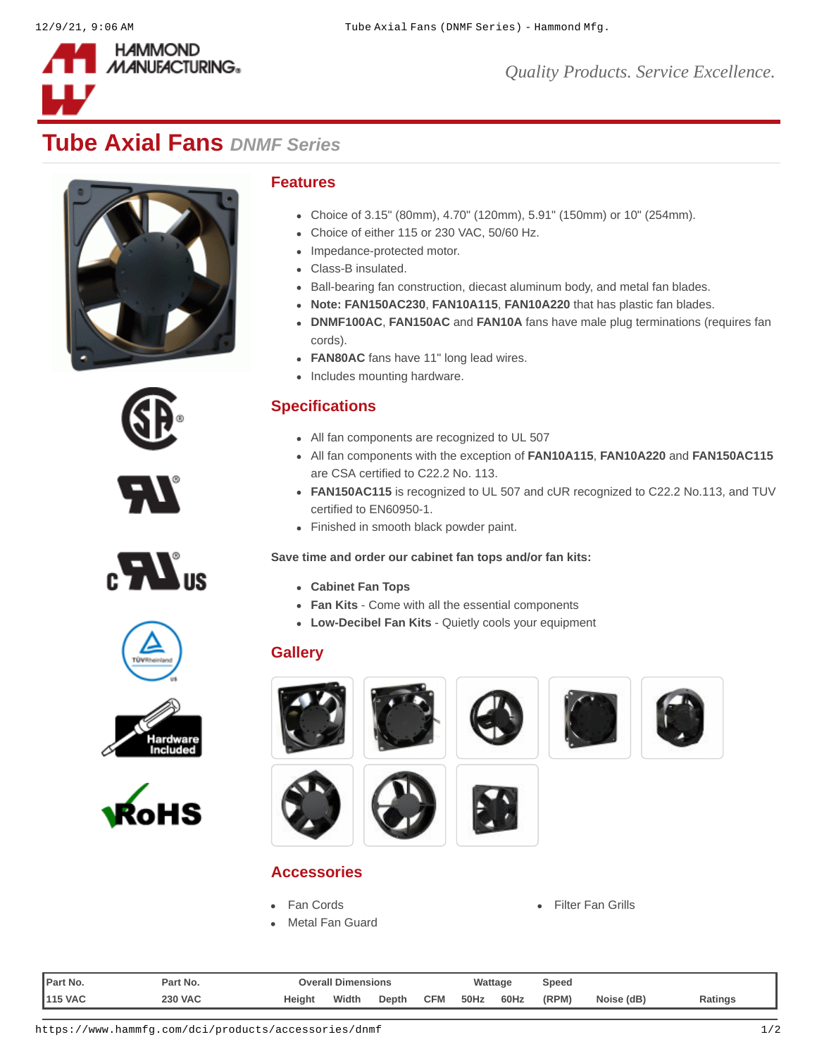

# **Tube Axial Fans** *DNMF Series*















#### **Features**

- Choice of 3.15" (80mm), 4.70" (120mm), 5.91" (150mm) or 10" (254mm).
- Choice of either 115 or 230 VAC, 50/60 Hz.
- Impedance-protected motor.
- Class-B insulated.
- Ball-bearing fan construction, diecast aluminum body, and metal fan blades.
- **Note: [FAN150AC230](https://www.hammfg.com/part/FAN150AC230)**, **[FAN10A115](https://www.hammfg.com/part/FAN10A115)**, **[FAN10A220](https://www.hammfg.com/part/FAN10A220)** that has plastic fan blades.
- **[DNMF100AC](https://www.hammfg.com/part/DNMF100AC)**, **[FAN150AC](https://www.hammfg.com/part/FAN150AC)** and **[FAN10A](https://www.hammfg.com/part/FAN10A)** fans have male plug terminations (requires fan cords).
- **[FAN80AC](https://www.hammfg.com/part/FAN80AC)** fans have 11" long lead wires.
- Includes mounting hardware.

## **Specifications**

- All fan components are recognized to UL 507
- All fan components with the exception of **[FAN10A115](https://www.hammfg.com/part/FAN10A115)**, **[FAN10A220](https://www.hammfg.com/part/FAN10A220)** and **[FAN150AC115](https://www.hammfg.com/part/FAN150AC115)** are CSA certified to C22.2 No. 113.
- **[FAN150AC115](https://www.hammfg.com/part/FAN150AC115)** is recognized to UL 507 and cUR recognized to C22.2 No.113, and TUV certified to EN60950-1.
- Finished in smooth black powder paint.

#### **Save time and order our cabinet fan tops and/or fan kits:**

- **[Cabinet Fan Tops](https://www.hammfg.com/product/c2tf)**
- **[Fan Kits](https://www.hammfg.com/product/fk)**  Come with all the essential components
- **[Low-Decibel Fan Kits](https://www.hammfg.com/product/avfk)** Quietly cools your equipment

# **Gallery**













[Metal Fan Guard](https://www.hammfg.com/dci/products/accessories/dnfg?referer=708&itm_type=accessory)

**Accessories**







| <b>IPart No.</b> | Part No.       | <b>Overall Dimensions</b> |       |       |            | Wattage |      | Speed |            |         |
|------------------|----------------|---------------------------|-------|-------|------------|---------|------|-------|------------|---------|
| <b>115 VAC</b>   | <b>230 VAC</b> | Height                    | Width | Depth | <b>CFM</b> | 50Hz    | 60Hz | (RPM) | Noise (dB) | Ratings |